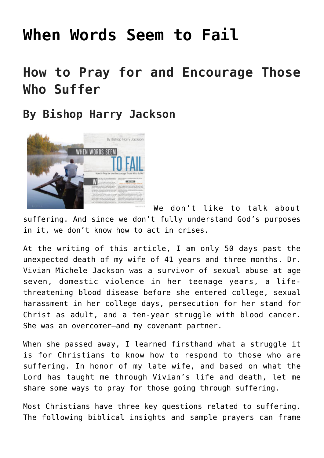# **[When Words Seem to Fail](https://www.prayerleader.com/when-words-seem-to-fail/)**

# **How to Pray for and Encourage Those Who Suffer**

## **By Bishop Harry Jackson**



We don't like to talk about suffering. And since we don't fully understand God's purposes in it, we don't know how to act in crises.

At the writing of this article, I am only 50 days past the unexpected death of my wife of 41 years and three months. Dr. Vivian Michele Jackson was a survivor of sexual abuse at age seven, domestic violence in her teenage years, a lifethreatening blood disease before she entered college, sexual harassment in her college days, persecution for her stand for Christ as adult, and a ten-year struggle with blood cancer. She was an overcomer—and my covenant partner.

When she passed away, I learned firsthand what a struggle it is for Christians to know how to respond to those who are suffering. In honor of my late wife, and based on what the Lord has taught me through Vivian's life and death, let me share some ways to pray for those going through suffering.

Most Christians have three key questions related to suffering. The following biblical insights and sample prayers can frame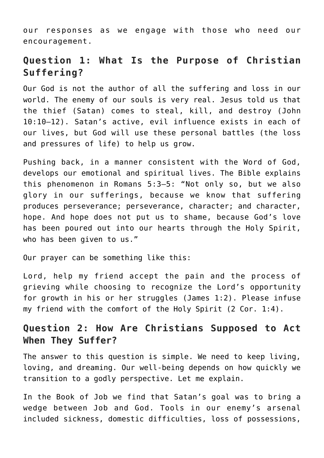our responses as we engage with those who need our encouragement.

### **Question 1: What Is the Purpose of Christian Suffering?**

Our God is not the author of all the suffering and loss in our world. The enemy of our souls is very real. Jesus told us that the thief (Satan) comes to steal, kill, and destroy (John 10:10–12). Satan's active, evil influence exists in each of our lives, but God will use these personal battles (the loss and pressures of life) to help us grow.

Pushing back, in a manner consistent with the Word of God, develops our emotional and spiritual lives. The Bible explains this phenomenon in Romans 5:3–5: "Not only so, but we also glory in our sufferings, because we know that suffering produces perseverance; perseverance, character; and character, hope. And hope does not put us to shame, because God's love has been poured out into our hearts through the Holy Spirit, who has been given to us."

Our prayer can be something like this:

Lord, help my friend accept the pain and the process of grieving while choosing to recognize the Lord's opportunity for growth in his or her struggles (James 1:2). Please infuse my friend with the comfort of the Holy Spirit (2 Cor. 1:4).

### **Question 2: How Are Christians Supposed to Act When They Suffer?**

The answer to this question is simple. We need to keep living, loving, and dreaming. Our well-being depends on how quickly we transition to a godly perspective. Let me explain.

In the Book of Job we find that Satan's goal was to bring a wedge between Job and God. Tools in our enemy's arsenal included sickness, domestic difficulties, loss of possessions,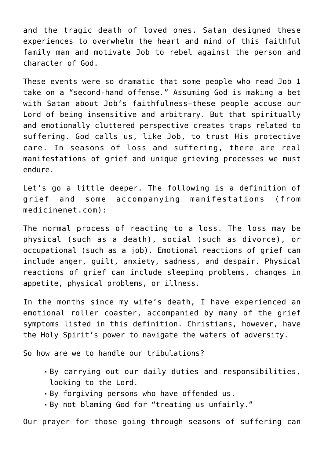and the tragic death of loved ones. Satan designed these experiences to overwhelm the heart and mind of this faithful family man and motivate Job to rebel against the person and character of God.

These events were so dramatic that some people who read Job 1 take on a "second-hand offense." Assuming God is making a bet with Satan about Job's faithfulness—these people accuse our Lord of being insensitive and arbitrary. But that spiritually and emotionally cluttered perspective creates traps related to suffering. God calls us, like Job, to trust His protective care. In seasons of loss and suffering, there are real manifestations of grief and unique grieving processes we must endure.

Let's go a little deeper. The following is a definition of grief and some accompanying manifestations (from [medicinenet.com](http://medicinenet.com)):

The normal process of reacting to a loss. The loss may be physical (such as a death), social (such as divorce), or occupational (such as a job). Emotional reactions of grief can include anger, guilt, anxiety, sadness, and despair. Physical reactions of grief can include sleeping problems, changes in appetite, physical problems, or illness.

In the months since my wife's death, I have experienced an emotional roller coaster, accompanied by many of the grief symptoms listed in this definition. Christians, however, have the Holy Spirit's power to navigate the waters of adversity.

So how are we to handle our tribulations?

- By carrying out our daily duties and responsibilities, looking to the Lord.
- By forgiving persons who have offended us.
- By not blaming God for "treating us unfairly."

Our prayer for those going through seasons of suffering can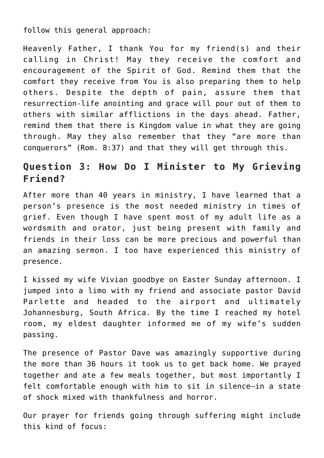follow this general approach:

Heavenly Father, I thank You for my friend(s) and their calling in Christ! May they receive the comfort and encouragement of the Spirit of God. Remind them that the comfort they receive from You is also preparing them to help others. Despite the depth of pain, assure them that resurrection-life anointing and grace will pour out of them to others with similar afflictions in the days ahead. Father, remind them that there is Kingdom value in what they are going through. May they also remember that they "are more than conquerors" (Rom. 8:37) and that they will get through this.

### **Question 3: How Do I Minister to My Grieving Friend?**

After more than 40 years in ministry, I have learned that a person's presence is the most needed ministry in times of grief. Even though I have spent most of my adult life as a wordsmith and orator, just being present with family and friends in their loss can be more precious and powerful than an amazing sermon. I too have experienced this ministry of presence.

I kissed my wife Vivian goodbye on Easter Sunday afternoon. I jumped into a limo with my friend and associate pastor David Parlette and headed to the airport and ultimately Johannesburg, South Africa. By the time I reached my hotel room, my eldest daughter informed me of my wife's sudden passing.

The presence of Pastor Dave was amazingly supportive during the more than 36 hours it took us to get back home. We prayed together and ate a few meals together, but most importantly I felt comfortable enough with him to sit in silence—in a state of shock mixed with thankfulness and horror.

Our prayer for friends going through suffering might include this kind of focus: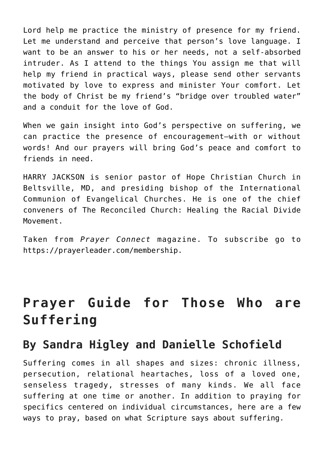Lord help me practice the ministry of presence for my friend. Let me understand and perceive that person's love language. I want to be an answer to his or her needs, not a self-absorbed intruder. As I attend to the things You assign me that will help my friend in practical ways, please send other servants motivated by love to express and minister Your comfort. Let the body of Christ be my friend's "bridge over troubled water" and a conduit for the love of God.

When we gain insight into God's perspective on suffering, we can practice the presence of encouragement—with or without words! And our prayers will bring God's peace and comfort to friends in need.

HARRY JACKSON is senior pastor of Hope Christian Church in Beltsville, MD, and presiding bishop of the International Communion of Evangelical Churches. He is one of the chief conveners of [The Reconciled Church: Healing the Racial Divide](http://thereconciledchurch.org) [Movement.](http://thereconciledchurch.org)

Taken from *Prayer Connect* magazine. To subscribe go to [https://prayerleader.com/membership.](https://prayerleader.com/membership)

# **Prayer Guide for Those Who are Suffering**

## **By Sandra Higley and Danielle Schofield**

Suffering comes in all shapes and sizes: chronic illness, persecution, relational heartaches, loss of a loved one, senseless tragedy, stresses of many kinds. We all face suffering at one time or another. In addition to praying for specifics centered on individual circumstances, here are a few ways to pray, based on what Scripture says about suffering.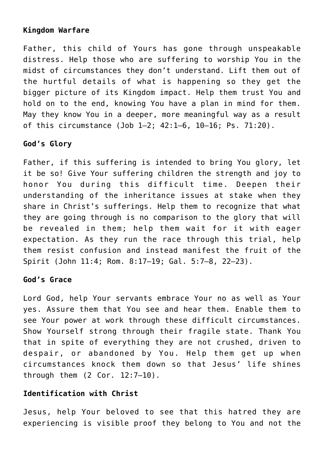#### **Kingdom Warfare**

Father, this child of Yours has gone through unspeakable distress. Help those who are suffering to worship You in the midst of circumstances they don't understand. Lift them out of the hurtful details of what is happening so they get the bigger picture of its Kingdom impact. Help them trust You and hold on to the end, knowing You have a plan in mind for them. May they know You in a deeper, more meaningful way as a result of this circumstance (Job 1–2; 42:1–6, 10–16; Ps. 71:20).

#### **God's Glory**

Father, if this suffering is intended to bring You glory, let it be so! Give Your suffering children the strength and joy to honor You during this difficult time. Deepen their understanding of the inheritance issues at stake when they share in Christ's sufferings. Help them to recognize that what they are going through is no comparison to the glory that will be revealed in them; help them wait for it with eager expectation. As they run the race through this trial, help them resist confusion and instead manifest the fruit of the Spirit (John 11:4; Rom. 8:17–19; Gal. 5:7–8, 22–23).

#### **God's Grace**

Lord God, help Your servants embrace Your no as well as Your yes. Assure them that You see and hear them. Enable them to see Your power at work through these difficult circumstances. Show Yourself strong through their fragile state. Thank You that in spite of everything they are not crushed, driven to despair, or abandoned by You. Help them get up when circumstances knock them down so that Jesus' life shines through them (2 Cor. 12:7–10).

#### **Identification with Christ**

Jesus, help Your beloved to see that this hatred they are experiencing is visible proof they belong to You and not the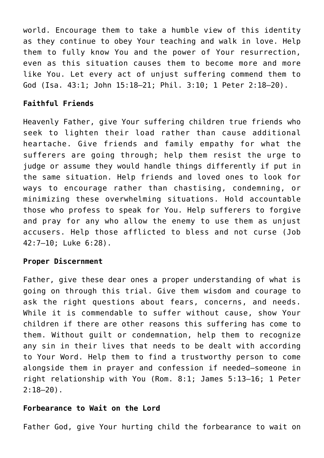world. Encourage them to take a humble view of this identity as they continue to obey Your teaching and walk in love. Help them to fully know You and the power of Your resurrection, even as this situation causes them to become more and more like You. Let every act of unjust suffering commend them to God (Isa. 43:1; John 15:18–21; Phil. 3:10; 1 Peter 2:18–20).

#### **Faithful Friends**

Heavenly Father, give Your suffering children true friends who seek to lighten their load rather than cause additional heartache. Give friends and family empathy for what the sufferers are going through; help them resist the urge to judge or assume they would handle things differently if put in the same situation. Help friends and loved ones to look for ways to encourage rather than chastising, condemning, or minimizing these overwhelming situations. Hold accountable those who profess to speak for You. Help sufferers to forgive and pray for any who allow the enemy to use them as unjust accusers. Help those afflicted to bless and not curse (Job 42:7–10; Luke 6:28).

#### **Proper Discernment**

Father, give these dear ones a proper understanding of what is going on through this trial. Give them wisdom and courage to ask the right questions about fears, concerns, and needs. While it is commendable to suffer without cause, show Your children if there are other reasons this suffering has come to them. Without guilt or condemnation, help them to recognize any sin in their lives that needs to be dealt with according to Your Word. Help them to find a trustworthy person to come alongside them in prayer and confession if needed—someone in right relationship with You (Rom. 8:1; James 5:13–16; 1 Peter  $2:18-20$ ).

#### **Forbearance to Wait on the Lord**

Father God, give Your hurting child the forbearance to wait on